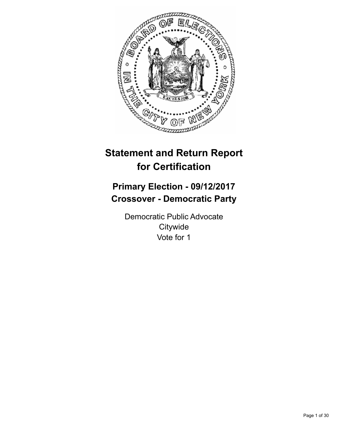

# **Statement and Return Report for Certification**

## **Primary Election - 09/12/2017 Crossover - Democratic Party**

Democratic Public Advocate **Citywide** Vote for 1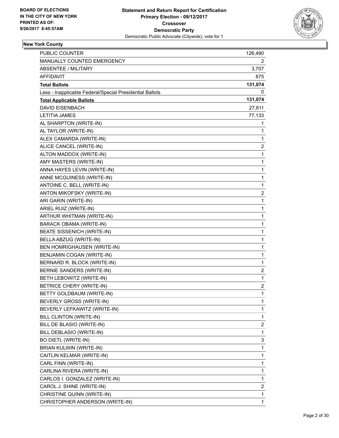

| PUBLIC COUNTER                                           | 126,490                 |
|----------------------------------------------------------|-------------------------|
| MANUALLY COUNTED EMERGENCY                               | 2                       |
| <b>ABSENTEE / MILITARY</b>                               | 3,707                   |
| AFFIDAVIT                                                | 875                     |
| <b>Total Ballots</b>                                     | 131,074                 |
| Less - Inapplicable Federal/Special Presidential Ballots | 0                       |
| <b>Total Applicable Ballots</b>                          | 131,074                 |
| <b>DAVID EISENBACH</b>                                   | 27,811                  |
| <b>LETITIA JAMES</b>                                     | 77,133                  |
| AL SHARPTON (WRITE-IN)                                   | 1                       |
| AL TAYLOR (WRITE-IN)                                     | 1                       |
| ALEX CAMARDA (WRITE-IN)                                  | 1                       |
| ALICE CANCEL (WRITE-IN)                                  | $\overline{2}$          |
| ALTON MADDOX (WRITE-IN)                                  | 1                       |
| AMY MASTERS (WRITE-IN)                                   | 1                       |
| ANNA HAYES LEVIN (WRITE-IN)                              | $\mathbf 1$             |
| ANNE MCGUINESS (WRITE-IN)                                | 1                       |
| ANTOINE C. BELL (WRITE-IN)                               | 1                       |
| ANTON MIKOFSKY (WRITE-IN)                                | $\overline{2}$          |
| ARI GARIN (WRITE-IN)                                     | 1                       |
| ARIEL RUIZ (WRITE-IN)                                    | 1                       |
| ARTHUR WHITMAN (WRITE-IN)                                | $\mathbf 1$             |
| <b>BARACK OBAMA (WRITE-IN)</b>                           | 1                       |
| <b>BEATE SISSENICH (WRITE-IN)</b>                        | 1                       |
| BELLA ABZUG (WRITE-IN)                                   | 1                       |
| BEN HOMRIGHAUSEN (WRITE-IN)                              | 1                       |
| BENJAMIN COGAN (WRITE-IN)                                | 1                       |
| BERNARD R. BLOCK (WRITE-IN)                              | 1                       |
| BERNIE SANDERS (WRITE-IN)                                | 2                       |
| BETH LEBOWITZ (WRITE-IN)                                 | 1                       |
| <b>BETRICE CHERY (WRITE-IN)</b>                          | $\overline{\mathbf{c}}$ |
| BETTY GOLDBAUM (WRITE-IN)                                | 1                       |
| BEVERLY GROSS (WRITE-IN)                                 | 1                       |
| BEVERLY LEFKAWITZ (WRITE-IN)                             | 1                       |
| <b>BILL CLINTON (WRITE-IN)</b>                           | 1                       |
| BILL DE BLASIO (WRITE-IN)                                | 2                       |
| BILL DEBLASIO (WRITE-IN)                                 | 1                       |
| <b>BO DIETL (WRITE-IN)</b>                               | 3                       |
| <b>BRIAN KULWIN (WRITE-IN)</b>                           | 1                       |
| CAITLIN KELMAR (WRITE-IN)                                | 1                       |
| CARL FINN (WRITE-IN)                                     | 1                       |
| CARLINA RIVERA (WRITE-IN)                                | 1                       |
| CARLOS I. GONZALEZ (WRITE-IN)                            | 1                       |
| CAROL J. SHINE (WRITE-IN)                                | 2                       |
| CHRISTINE QUINN (WRITE-IN)                               | 1                       |
| CHRISTOPHER ANDERSON (WRITE-IN)                          | 1                       |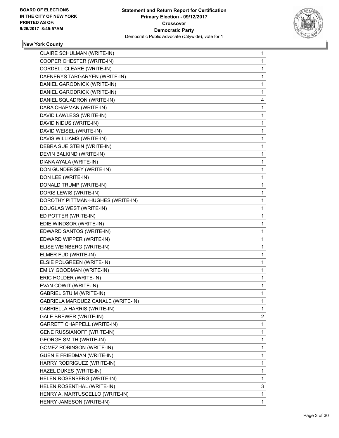

| CLAIRE SCHULMAN (WRITE-IN)         | $\mathbf{1}$ |
|------------------------------------|--------------|
| COOPER CHESTER (WRITE-IN)          | 1            |
| CORDELL CLEARE (WRITE-IN)          | 1            |
| DAENERYS TARGARYEN (WRITE-IN)      | 1            |
| DANIEL GARODNICK (WRITE-IN)        | 1            |
| DANIEL GARODRICK (WRITE-IN)        | 1            |
| DANIEL SQUADRON (WRITE-IN)         | 4            |
| DARA CHAPMAN (WRITE-IN)            | 1            |
| DAVID LAWLESS (WRITE-IN)           | 1            |
| DAVID NIDUS (WRITE-IN)             | 1            |
| DAVID WEISEL (WRITE-IN)            | $\mathbf{1}$ |
| DAVIS WILLIAMS (WRITE-IN)          | 1            |
| DEBRA SUE STEIN (WRITE-IN)         | 1            |
| DEVIN BALKIND (WRITE-IN)           | 1            |
| DIANA AYALA (WRITE-IN)             | 1            |
| DON GUNDERSEY (WRITE-IN)           | 1            |
| DON LEE (WRITE-IN)                 | $\mathbf{1}$ |
| DONALD TRUMP (WRITE-IN)            | 1            |
| DORIS LEWIS (WRITE-IN)             | 1            |
| DOROTHY PITTMAN-HUGHES (WRITE-IN)  | 1            |
| DOUGLAS WEST (WRITE-IN)            | 1            |
| ED POTTER (WRITE-IN)               | 1            |
| EDIE WINDSOR (WRITE-IN)            | $\mathbf{1}$ |
| EDWARD SANTOS (WRITE-IN)           | 1            |
| EDWARD WIPPER (WRITE-IN)           | 1            |
| ELISE WEINBERG (WRITE-IN)          | 1            |
| ELMER FUD (WRITE-IN)               | 1            |
| ELSIE POLGREEN (WRITE-IN)          | 1            |
| EMILY GOODMAN (WRITE-IN)           | 1            |
| ERIC HOLDER (WRITE-IN)             | 1            |
| EVAN COWIT (WRITE-IN)              | 1            |
| <b>GABRIEL STUIM (WRITE-IN)</b>    | $\mathbf{1}$ |
| GABRIELA MARQUEZ CANALE (WRITE-IN) | 1            |
| <b>GABRIELLA HARRIS (WRITE-IN)</b> | 1            |
| GALE BREWER (WRITE-IN)             | 2            |
| GARRETT CHAPPELL (WRITE-IN)        | 1            |
| <b>GENE RUSSIANOFF (WRITE-IN)</b>  | 1            |
| <b>GEORGE SMITH (WRITE-IN)</b>     | $\mathbf{1}$ |
| <b>GOMEZ ROBINSON (WRITE-IN)</b>   | 1            |
| <b>GUEN E FRIEDMAN (WRITE-IN)</b>  | 1            |
| HARRY RODRIGUEZ (WRITE-IN)         | 1            |
| HAZEL DUKES (WRITE-IN)             | 1            |
| HELEN ROSENBERG (WRITE-IN)         | 1            |
| HELEN ROSENTHAL (WRITE-IN)         | 3            |
| HENRY A. MARTUSCELLO (WRITE-IN)    | 1            |
| HENRY JAMESON (WRITE-IN)           | 1            |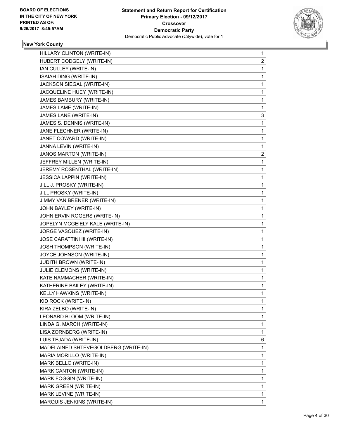

| HILLARY CLINTON (WRITE-IN)           | 1              |
|--------------------------------------|----------------|
| HUBERT CODGELY (WRITE-IN)            | $\overline{2}$ |
| IAN CULLEY (WRITE-IN)                | 1              |
| ISAIAH DING (WRITE-IN)               | 1              |
| JACKSON SIEGAL (WRITE-IN)            | 1              |
| JACQUELINE HUEY (WRITE-IN)           | 1              |
| JAMES BAMBURY (WRITE-IN)             | 1              |
| JAMES LAME (WRITE-IN)                | 1              |
| JAMES LANE (WRITE-IN)                | 3              |
| JAMES S. DENNIS (WRITE-IN)           | 1              |
| JANE FLECHNER (WRITE-IN)             | 1              |
| JANET COWARD (WRITE-IN)              | 1              |
| JANNA LEVIN (WRITE-IN)               | 1              |
| JANOS MARTON (WRITE-IN)              | 2              |
| JEFFREY MILLEN (WRITE-IN)            | 1              |
| JEREMY ROSENTHAL (WRITE-IN)          | 1              |
| JESSICA LAPPIN (WRITE-IN)            | 1              |
| JILL J. PROSKY (WRITE-IN)            | 1              |
| JILL PROSKY (WRITE-IN)               | 1              |
| JIMMY VAN BRENER (WRITE-IN)          | 1              |
| JOHN BAYLEY (WRITE-IN)               | 1              |
| JOHN ERVIN ROGERS (WRITE-IN)         | 1              |
| JOPELYN MCGEIELY KALE (WRITE-IN)     | 1              |
| JORGE VASQUEZ (WRITE-IN)             | 1              |
| JOSE CARATTINI III (WRITE-IN)        | 1              |
| JOSH THOMPSON (WRITE-IN)             | 1              |
| JOYCE JOHNSON (WRITE-IN)             | 1              |
| JUDITH BROWN (WRITE-IN)              | 1              |
| JULIE CLEMONS (WRITE-IN)             | 1              |
| KATE NAMMACHER (WRITE-IN)            | 1              |
| KATHERINE BAILEY (WRITE-IN)          | 1              |
| KELLY HAWKINS (WRITE-IN)             | 1              |
| KID ROCK (WRITE-IN)                  | 1              |
| KIRA ZELBO (WRITE-IN)                | 1              |
| LEONARD BLOOM (WRITE-IN)             | 1              |
| LINDA G. MARCH (WRITE-IN)            | 1              |
| LISA ZORNBERG (WRITE-IN)             | 1              |
| LUIS TEJADA (WRITE-IN)               | 6              |
| MADELAINED SHTEVEGOLDBERG (WRITE-IN) | 1              |
| MARIA MORILLO (WRITE-IN)             | 1              |
| MARK BELLO (WRITE-IN)                | 1              |
| MARK CANTON (WRITE-IN)               | 1              |
| MARK FOGGIN (WRITE-IN)               | 1              |
| MARK GREEN (WRITE-IN)                | 1              |
| MARK LEVINE (WRITE-IN)               | 1              |
| MARQUIS JENKINS (WRITE-IN)           | $\mathbf{1}$   |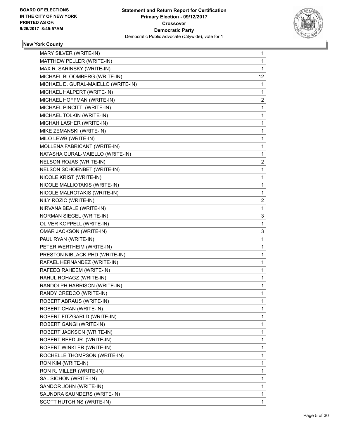

| MARY SILVER (WRITE-IN)              | 1  |
|-------------------------------------|----|
| MATTHEW PELLER (WRITE-IN)           | 1  |
| MAX R. SARINSKY (WRITE-IN)          | 1  |
| MICHAEL BLOOMBERG (WRITE-IN)        | 12 |
| MICHAEL D. GURAL-MAIELLO (WRITE-IN) | 1  |
| MICHAEL HALPERT (WRITE-IN)          | 1  |
| MICHAEL HOFFMAN (WRITE-IN)          | 2  |
| MICHAEL PINCITTI (WRITE-IN)         | 1  |
| MICHAEL TOLKIN (WRITE-IN)           | 1  |
| MICHAH LASHER (WRITE-IN)            | 1  |
| MIKE ZEMANSKI (WRITE-IN)            | 1  |
| MILO LEWB (WRITE-IN)                | 1  |
| MOLLENA FABRICANT (WRITE-IN)        | 1  |
| NATASHA GURAL-MAIELLO (WRITE-IN)    | 1  |
| NELSON ROJAS (WRITE-IN)             | 2  |
| NELSON SCHOENBET (WRITE-IN)         | 1  |
| NICOLE KRIST (WRITE-IN)             | 1  |
| NICOLE MALLIOTAKIS (WRITE-IN)       | 1  |
| NICOLE MALROTAKIS (WRITE-IN)        | 1  |
| NILY ROZIC (WRITE-IN)               | 2  |
| NIRVANA BEALE (WRITE-IN)            | 1  |
| NORMAN SIEGEL (WRITE-IN)            | 3  |
| OLIVER KOPPELL (WRITE-IN)           | 1  |
| OMAR JACKSON (WRITE-IN)             | 3  |
| PAUL RYAN (WRITE-IN)                | 1  |
| PETER WERTHEIM (WRITE-IN)           | 1  |
| PRESTON NIBLACK PHD (WRITE-IN)      | 1  |
| RAFAEL HERNANDEZ (WRITE-IN)         | 1  |
| RAFEEQ RAHEEM (WRITE-IN)            | 1  |
| RAHUL ROHAGZ (WRITE-IN)             | 1  |
| RANDOLPH HARRISON (WRITE-IN)        | 1  |
| RANDY CREDCO (WRITE-IN)             | 1  |
| ROBERT ABRAUS (WRITE-IN)            | 1  |
| ROBERT CHAN (WRITE-IN)              | 1  |
| ROBERT FITZGARLD (WRITE-IN)         | 1  |
| ROBERT GANGI (WRITE-IN)             | 1  |
| ROBERT JACKSON (WRITE-IN)           | 1  |
| ROBERT REED JR. (WRITE-IN)          | 1  |
| ROBERT WINKLER (WRITE-IN)           | 1  |
| ROCHELLE THOMPSON (WRITE-IN)        | 1  |
| RON KIM (WRITE-IN)                  | 1  |
| RON R. MILLER (WRITE-IN)            | 1  |
| SAL SICHON (WRITE-IN)               | 1  |
| SANDOR JOHN (WRITE-IN)              | 1  |
| SAUNDRA SAUNDERS (WRITE-IN)         | 1  |
| SCOTT HUTCHINS (WRITE-IN)           | 1  |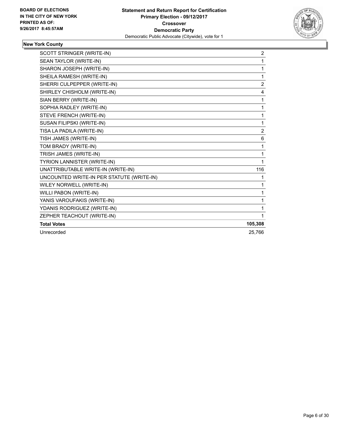

| SCOTT STRINGER (WRITE-IN)                 | $\overline{2}$ |
|-------------------------------------------|----------------|
| SEAN TAYLOR (WRITE-IN)                    | 1              |
| SHARON JOSEPH (WRITE-IN)                  | 1              |
| SHEILA RAMESH (WRITE-IN)                  | 1              |
| SHERRI CULPEPPER (WRITE-IN)               | $\overline{2}$ |
| SHIRLEY CHISHOLM (WRITE-IN)               | 4              |
| SIAN BERRY (WRITE-IN)                     | 1              |
| SOPHIA RADLEY (WRITE-IN)                  | 1              |
| STEVE FRENCH (WRITE-IN)                   | 1              |
| SUSAN FILIPSKI (WRITE-IN)                 | 1              |
| TISA LA PADILA (WRITE-IN)                 | 2              |
| TISH JAMES (WRITE-IN)                     | 6              |
| TOM BRADY (WRITE-IN)                      | 1              |
| TRISH JAMES (WRITE-IN)                    | 1              |
| TYRION LANNISTER (WRITE-IN)               | 1              |
| UNATTRIBUTABLE WRITE-IN (WRITE-IN)        | 116            |
| UNCOUNTED WRITE-IN PER STATUTE (WRITE-IN) | 1              |
| WILEY NORWELL (WRITE-IN)                  | 1              |
| WILLI PABON (WRITE-IN)                    | 1              |
| YANIS VAROUFAKIS (WRITE-IN)               | 1              |
| YDANIS RODRIGUEZ (WRITE-IN)               | 1              |
| ZEPHER TEACHOUT (WRITE-IN)                | 1              |
| <b>Total Votes</b>                        | 105,308        |
| Unrecorded                                | 25,766         |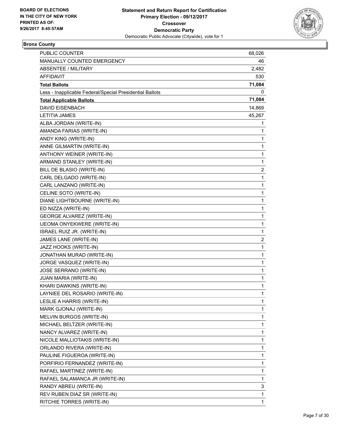

#### **Bronx County**

| PUBLIC COUNTER                                           | 68,026         |
|----------------------------------------------------------|----------------|
| MANUALLY COUNTED EMERGENCY                               | 46             |
| <b>ABSENTEE / MILITARY</b>                               | 2,482          |
| AFFIDAVIT                                                | 530            |
| <b>Total Ballots</b>                                     | 71,084         |
| Less - Inapplicable Federal/Special Presidential Ballots | 0              |
| <b>Total Applicable Ballots</b>                          | 71,084         |
| <b>DAVID EISENBACH</b>                                   | 14,869         |
| <b>LETITIA JAMES</b>                                     | 45,267         |
| ALBA JORDAN (WRITE-IN)                                   | 1              |
| AMANDA FARIAS (WRITE-IN)                                 | 1              |
| ANDY KING (WRITE-IN)                                     | 1              |
| ANNE GILMARTIN (WRITE-IN)                                | 1              |
| ANTHONY WEINER (WRITE-IN)                                | 1              |
| ARMAND STANLEY (WRITE-IN)                                | 1              |
| BILL DE BLASIO (WRITE-IN)                                | $\overline{c}$ |
| CARL DELGADO (WRITE-IN)                                  | 1              |
| CARL LANZANO (WRITE-IN)                                  | 1              |
| CELINE SOTO (WRITE-IN)                                   | $\mathbf 1$    |
| DIANE LIGHTBOURNE (WRITE-IN)                             | 1              |
| ED NIZZA (WRITE-IN)                                      | 1              |
| <b>GEORGE ALVAREZ (WRITE-IN)</b>                         | $\mathbf 1$    |
| IJEOMA ONYEKWERE (WRITE-IN)                              | 1              |
| ISRAEL RUIZ JR. (WRITE-IN)                               | 1              |
| JAMES LANE (WRITE-IN)                                    | $\overline{2}$ |
| JAZZ HOOKS (WRITE-IN)                                    | 1              |
| JONATHAN MURAD (WRITE-IN)                                | 1              |
| JORGE VASQUEZ (WRITE-IN)                                 | 1              |
| JOSE SERRANO (WRITE-IN)                                  | 1              |
| JUAN MARIA (WRITE-IN)                                    | 1              |
| KHARI DAWKINS (WRITE-IN)                                 | 1              |
| LAYNIEE DEL ROSARIO (WRITE-IN)                           | 1              |
| LESLIE A HARRIS (WRITE-IN)                               | 1              |
| MARK GJONAJ (WRITE-IN)                                   | 1              |
| MELVIN BURGOS (WRITE-IN)                                 | 1              |
| MICHAEL BELTZER (WRITE-IN)                               | 1              |
| NANCY ALVAREZ (WRITE-IN)                                 | 1              |
| NICOLE MALLIOTAKIS (WRITE-IN)                            | 1              |
| ORLANDO RIVERA (WRITE-IN)                                | 1              |
| PAULINE FIGUEROA (WRITE-IN)                              | 1              |
| PORFIRIO FERNANDEZ (WRITE-IN)                            | 1              |
| RAFAEL MARTINEZ (WRITE-IN)                               | 1              |
| RAFAEL SALAMANCA JR (WRITE-IN)                           | 1              |
| RANDY ABREU (WRITE-IN)                                   | 3              |
| REV RUBEN DIAZ SR (WRITE-IN)                             | 1              |
| RITCHIE TORRES (WRITE-IN)                                | 1              |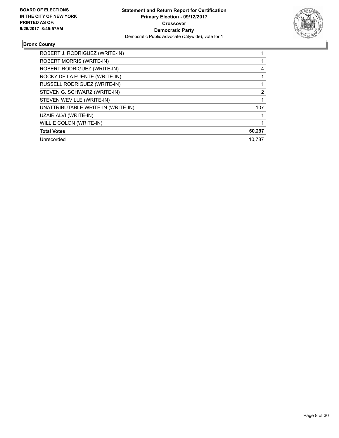

#### **Bronx County**

| ROBERT J. RODRIGUEZ (WRITE-IN)     |        |
|------------------------------------|--------|
| <b>ROBERT MORRIS (WRITE-IN)</b>    |        |
| ROBERT RODRIGUEZ (WRITE-IN)        | 4      |
| ROCKY DE LA FUENTE (WRITE-IN)      |        |
| RUSSELL RODRIGUEZ (WRITE-IN)       |        |
| STEVEN G. SCHWARZ (WRITE-IN)       | 2      |
| STEVEN WEVILLE (WRITE-IN)          |        |
| UNATTRIBUTABLE WRITE-IN (WRITE-IN) | 107    |
| UZAIR ALVI (WRITE-IN)              |        |
| WILLIE COLON (WRITE-IN)            |        |
| <b>Total Votes</b>                 | 60,297 |
| Unrecorded                         | 10.787 |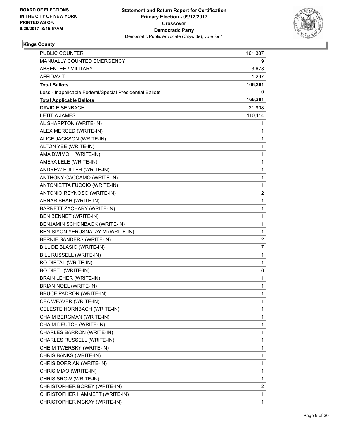

| <b>PUBLIC COUNTER</b>                                    | 161,387                 |
|----------------------------------------------------------|-------------------------|
| MANUALLY COUNTED EMERGENCY                               | 19                      |
| <b>ABSENTEE / MILITARY</b>                               | 3,678                   |
| AFFIDAVIT                                                | 1,297                   |
| <b>Total Ballots</b>                                     | 166,381                 |
| Less - Inapplicable Federal/Special Presidential Ballots | 0                       |
| <b>Total Applicable Ballots</b>                          | 166,381                 |
| <b>DAVID EISENBACH</b>                                   | 21,908                  |
| <b>LETITIA JAMES</b>                                     | 110,114                 |
| AL SHARPTON (WRITE-IN)                                   | 1                       |
| ALEX MERCED (WRITE-IN)                                   | 1                       |
| ALICE JACKSON (WRITE-IN)                                 | 1                       |
| ALTON YEE (WRITE-IN)                                     | 1                       |
| AMA DWIMOH (WRITE-IN)                                    | 1                       |
| AMEYA LELE (WRITE-IN)                                    | 1                       |
| ANDREW FULLER (WRITE-IN)                                 | 1                       |
| ANTHONY CACCAMO (WRITE-IN)                               | 1                       |
| ANTONIETTA FUCCIO (WRITE-IN)                             | 1                       |
| ANTONIO REYNOSO (WRITE-IN)                               | $\overline{\mathbf{c}}$ |
| ARNAR SHAH (WRITE-IN)                                    | 1                       |
| BARRETT ZACHARY (WRITE-IN)                               | 1                       |
| BEN BENNET (WRITE-IN)                                    | 1                       |
| BENJAMIN SCHONBACK (WRITE-IN)                            | 1                       |
| BEN-SIYON YERUSNALAYIM (WRITE-IN)                        | 1                       |
| BERNIE SANDERS (WRITE-IN)                                | $\overline{\mathbf{c}}$ |
| BILL DE BLASIO (WRITE-IN)                                | 7                       |
| BILL RUSSELL (WRITE-IN)                                  | 1                       |
| <b>BO DIETAL (WRITE-IN)</b>                              | 1                       |
| <b>BO DIETL (WRITE-IN)</b>                               | 6                       |
| BRAIN LEHER (WRITE-IN)                                   | 1                       |
| BRIAN NOEL (WRITE-IN)                                    | 1                       |
| <b>BRUCE PADRON (WRITE-IN)</b>                           | 1                       |
| CEA WEAVER (WRITE-IN)                                    | 1                       |
| CELESTE HORNBACH (WRITE-IN)                              | 1                       |
| CHAIM BERGMAN (WRITE-IN)                                 | 1                       |
| CHAIM DEUTCH (WRITE-IN)                                  | 1                       |
| CHARLES BARRON (WRITE-IN)                                | 1                       |
| CHARLES RUSSELL (WRITE-IN)                               | 1                       |
| CHEIM TWERSKY (WRITE-IN)                                 | 1                       |
| CHRIS BANKS (WRITE-IN)                                   | 1                       |
| CHRIS DORRIAN (WRITE-IN)                                 | 1                       |
| CHRIS MIAO (WRITE-IN)                                    | 1                       |
| CHRIS SROW (WRITE-IN)                                    | 1                       |
| CHRISTOPHER BOREY (WRITE-IN)                             | 2                       |
| CHRISTOPHER HAMMETT (WRITE-IN)                           | 1                       |
| CHRISTOPHER MCKAY (WRITE-IN)                             | 1                       |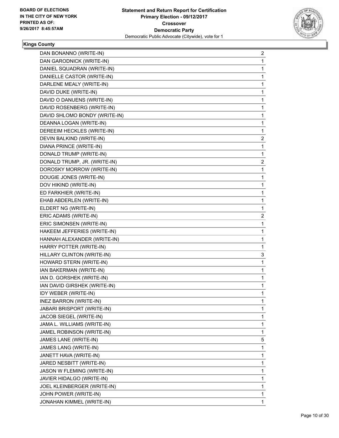

| DAN BONANNO (WRITE-IN)        | $\overline{c}$ |
|-------------------------------|----------------|
| DAN GARODNICK (WRITE-IN)      | 1              |
| DANIEL SQUADRAN (WRITE-IN)    | 1              |
| DANIELLE CASTOR (WRITE-IN)    | 1              |
| DARLENE MEALY (WRITE-IN)      | 1              |
| DAVID DUKE (WRITE-IN)         | 1              |
| DAVID O DANUENS (WRITE-IN)    | 1              |
| DAVID ROSENBERG (WRITE-IN)    | 1              |
| DAVID SHLOMO BONDY (WRITE-IN) | 1              |
| DEANNA LOGAN (WRITE-IN)       | 1              |
| DEREEIM HECKLES (WRITE-IN)    | 1              |
| DEVIN BALKIND (WRITE-IN)      | 2              |
| DIANA PRINCE (WRITE-IN)       | 1              |
| DONALD TRUMP (WRITE-IN)       | 1              |
| DONALD TRUMP, JR. (WRITE-IN)  | 2              |
| DOROSKY MORROW (WRITE-IN)     | 1              |
| DOUGIE JONES (WRITE-IN)       | 1              |
| DOV HIKIND (WRITE-IN)         | 1              |
| ED FARKHIER (WRITE-IN)        | 1              |
| EHAB ABDERLEN (WRITE-IN)      | 1              |
| ELDERT NG (WRITE-IN)          | 1              |
| ERIC ADAMS (WRITE-IN)         | 2              |
| ERIC SIMONSEN (WRITE-IN)      | 1              |
| HAKEEM JEFFERIES (WRITE-IN)   | 1              |
| HANNAH ALEXANDER (WRITE-IN)   | 1              |
| HARRY POTTER (WRITE-IN)       | 1              |
| HILLARY CLINTON (WRITE-IN)    | 3              |
| HOWARD STERN (WRITE-IN)       | 1              |
| IAN BAKERMAN (WRITE-IN)       | 1              |
| IAN D. GORSHEK (WRITE-IN)     | 1              |
| IAN DAVID GIRSHEK (WRITE-IN)  | 1              |
| IDY WEBER (WRITE-IN)          | 1              |
| <b>INEZ BARRON (WRITE-IN)</b> | 1              |
| JABARI BRISPORT (WRITE-IN)    | 1              |
| JACOB SIEGEL (WRITE-IN)       | 1              |
| JAMA L. WILLIAMS (WRITE-IN)   | 1              |
| JAMEL ROBINSON (WRITE-IN)     | 1              |
| JAMES LANE (WRITE-IN)         | 5              |
| JAMES LANG (WRITE-IN)         | 1              |
| JANETT HAVA (WRITE-IN)        | 1              |
| JARED NESBITT (WRITE-IN)      | 1              |
| JASON W FLEMING (WRITE-IN)    | 1              |
| JAVIER HIDALGO (WRITE-IN)     | 1              |
| JOEL KLEINBERGER (WRITE-IN)   | 1              |
| JOHN POWER (WRITE-IN)         | 1              |
| JONAHAN KIMMEL (WRITE-IN)     | 1              |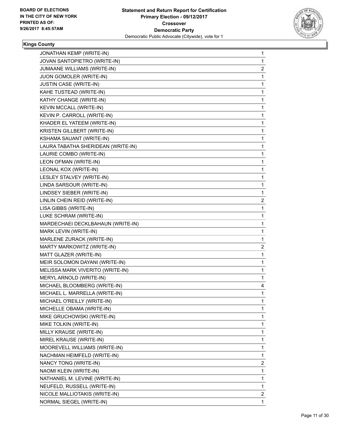

| JONATHAN KEMP (WRITE-IN)           | 1                       |
|------------------------------------|-------------------------|
| JOVAN SANTOPIETRO (WRITE-IN)       | 1                       |
| JUMAANE WILLIAMS (WRITE-IN)        | $\overline{\mathbf{c}}$ |
| JUON GOMOLER (WRITE-IN)            | 1                       |
| <b>JUSTIN CASE (WRITE-IN)</b>      | 1                       |
| KAHE TUSTEAD (WRITE-IN)            | 1                       |
| KATHY CHANGE (WRITE-IN)            | 1                       |
| KEVIN MCCALL (WRITE-IN)            | 1                       |
| KEVIN P. CARROLL (WRITE-IN)        | 1                       |
| KHADER EL YATEEM (WRITE-IN)        | 1                       |
| KRISTEN GILLBERT (WRITE-IN)        | 1                       |
| KSHAMA SAUANT (WRITE-IN)           | 1                       |
| LAURA TABATHA SHERIDEAN (WRITE-IN) | 1                       |
| LAURIE COMBO (WRITE-IN)            | 1                       |
| LEON OFMAN (WRITE-IN)              | 1                       |
| LEONAL KOX (WRITE-IN)              | 1                       |
| LESLEY STALVEY (WRITE-IN)          | 1                       |
| LINDA SARSOUR (WRITE-IN)           | 1                       |
| LINDSEY SIEBER (WRITE-IN)          | 1                       |
| LINLIN CHEIN REID (WRITE-IN)       | 2                       |
| LISA GIBBS (WRITE-IN)              | 1                       |
| LUKE SCHRAM (WRITE-IN)             | 1                       |
| MARDECHAEI DECKLBAHAUN (WRITE-IN)  | 1                       |
| MARK LEVIN (WRITE-IN)              | 1                       |
| MARLENE ZURACK (WRITE-IN)          | 1                       |
| MARTY MARKOWITZ (WRITE-IN)         | 2                       |
| MATT GLAZER (WRITE-IN)             | 1                       |
| MEIR SOLOMON DAYANI (WRITE-IN)     | 1                       |
| MELISSA MARK VIVERITO (WRITE-IN)   | 1                       |
| MERYL ARNOLD (WRITE-IN)            | 1                       |
| MICHAEL BLOOMBERG (WRITE-IN)       | 4                       |
| MICHAEL L. MARRELLA (WRITE-IN)     | 1                       |
| MICHAEL O'REILLY (WRITE-IN)        | 1                       |
| MICHELLE OBAMA (WRITE-IN)          | 1                       |
| MIKE GRUCHOWSKI (WRITE-IN)         | 1                       |
| MIKE TOLKIN (WRITE-IN)             | 1                       |
| MILLY KRAUSE (WRITE-IN)            | 1                       |
| MIREL KRAUSE (WRITE-IN)            | 1                       |
| MOOREVELL WILLIAMS (WRITE-IN)      | 1                       |
| NACHMAN HEIMFELD (WRITE-IN)        | 1                       |
| NANCY TONG (WRITE-IN)              | 2                       |
| NAOMI KLEIN (WRITE-IN)             | 1                       |
| NATHANIEL M. LEVINE (WRITE-IN)     | 1                       |
| NEUFELD, RUSSELL (WRITE-IN)        | 1                       |
| NICOLE MALLIOTAKIS (WRITE-IN)      | 2                       |
| NORMAL SIEGEL (WRITE-IN)           | 1                       |
|                                    |                         |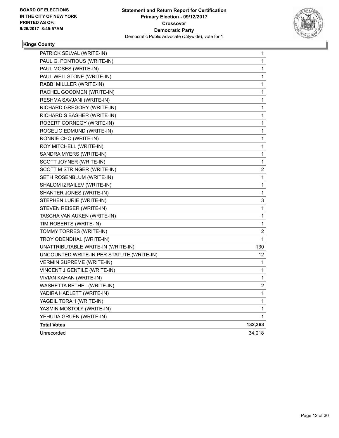

| PATRICK SELVAL (WRITE-IN)                 | 1                       |
|-------------------------------------------|-------------------------|
| PAUL G. PONTIOUS (WRITE-IN)               | 1                       |
| PAUL MOSES (WRITE-IN)                     | 1                       |
| PAUL WELLSTONE (WRITE-IN)                 | 1                       |
| RABBI MILLLER (WRITE-IN)                  | 1                       |
| RACHEL GOODMEN (WRITE-IN)                 | 1                       |
| RESHMA SAVJANI (WRITE-IN)                 | 1                       |
| RICHARD GREGORY (WRITE-IN)                | 1                       |
| RICHARD S BASHER (WRITE-IN)               | 1                       |
| ROBERT CORNEGY (WRITE-IN)                 | 1                       |
| ROGELIO EDMUND (WRITE-IN)                 | 1                       |
| RONNIE CHO (WRITE-IN)                     | 1                       |
| ROY MITCHELL (WRITE-IN)                   | 1                       |
| SANDRA MYERS (WRITE-IN)                   | 1                       |
| SCOTT JOYNER (WRITE-IN)                   | 1                       |
| SCOTT M STRINGER (WRITE-IN)               | $\overline{\mathbf{c}}$ |
| SETH ROSENBLUM (WRITE-IN)                 | 1                       |
| SHALOM IZRAILEV (WRITE-IN)                | 1                       |
| SHANTER JONES (WRITE-IN)                  | 1                       |
| STEPHEN LURIE (WRITE-IN)                  | 3                       |
| STEVEN REISER (WRITE-IN)                  | 1                       |
| TASCHA VAN AUKEN (WRITE-IN)               | 1                       |
| TIM ROBERTS (WRITE-IN)                    | 1                       |
| TOMMY TORRES (WRITE-IN)                   | $\overline{\mathbf{c}}$ |
| TROY ODENDHAL (WRITE-IN)                  | $\mathbf{1}$            |
| UNATTRIBUTABLE WRITE-IN (WRITE-IN)        | 130                     |
| UNCOUNTED WRITE-IN PER STATUTE (WRITE-IN) | 12                      |
| <b>VERMIN SUPREME (WRITE-IN)</b>          | 1                       |
| VINCENT J GENTILE (WRITE-IN)              | 1                       |
| VIVIAN KAHAN (WRITE-IN)                   | 1                       |
| WASHETTA BETHEL (WRITE-IN)                | $\overline{\mathbf{c}}$ |
| YADIRA HADLETT (WRITE-IN)                 | 1                       |
| YAGDIL TORAH (WRITE-IN)                   | 1                       |
| YASMIN MOSTOLY (WRITE-IN)                 | 1                       |
| YEHUDA GRUEN (WRITE-IN)                   | 1                       |
| <b>Total Votes</b>                        | 132,363                 |
| Unrecorded                                | 34,018                  |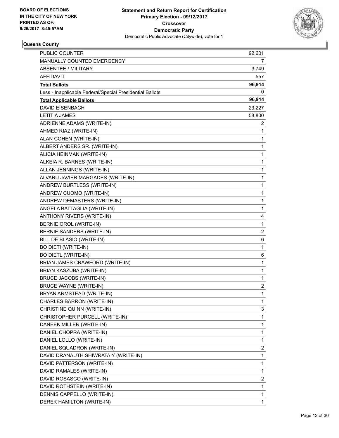

| <b>PUBLIC COUNTER</b>                                    | 92,601         |
|----------------------------------------------------------|----------------|
| MANUALLY COUNTED EMERGENCY                               | 7              |
| <b>ABSENTEE / MILITARY</b>                               | 3,749          |
| AFFIDAVIT                                                | 557            |
| <b>Total Ballots</b>                                     | 96,914         |
| Less - Inapplicable Federal/Special Presidential Ballots | 0              |
| <b>Total Applicable Ballots</b>                          | 96,914         |
| <b>DAVID EISENBACH</b>                                   | 23,227         |
| <b>LETITIA JAMES</b>                                     | 58,800         |
| ADRIENNE ADAMS (WRITE-IN)                                | 2              |
| AHMED RIAZ (WRITE-IN)                                    | 1              |
| ALAN COHEN (WRITE-IN)                                    | 1              |
| ALBERT ANDERS SR. (WRITE-IN)                             | 1              |
| ALICIA HEINMAN (WRITE-IN)                                | 1              |
| ALKEIA R. BARNES (WRITE-IN)                              | 1              |
| ALLAN JENNINGS (WRITE-IN)                                | 1              |
| ALVARU JAVIER MARGADES (WRITE-IN)                        | 1              |
| ANDREW BURTLESS (WRITE-IN)                               | 1              |
| ANDREW CUOMO (WRITE-IN)                                  | 1              |
| ANDREW DEMASTERS (WRITE-IN)                              | 1              |
| ANGELA BATTAGLIA (WRITE-IN)                              | 1              |
| ANTHONY RIVERS (WRITE-IN)                                | 4              |
| BERNIE OROL (WRITE-IN)                                   | 1              |
| BERNIE SANDERS (WRITE-IN)                                | 2              |
| BILL DE BLASIO (WRITE-IN)                                | 6              |
| <b>BO DIETI (WRITE-IN)</b>                               | 1              |
| <b>BO DIETL (WRITE-IN)</b>                               | 6              |
| BRIAN JAMES CRAWFORD (WRITE-IN)                          | 1              |
| BRIAN KASZUBA (WRITE-IN)                                 | 1              |
| <b>BRUCE JACOBS (WRITE-IN)</b>                           | 1              |
| <b>BRUCE WAYNE (WRITE-IN)</b>                            | $\overline{c}$ |
| BRYAN ARMSTEAD (WRITE-IN)                                | 1              |
| CHARLES BARRON (WRITE-IN)                                | 1              |
| CHRISTINE QUINN (WRITE-IN)                               | 3              |
| CHRISTOPHER PURCELL (WRITE-IN)                           | 1              |
| DANEEK MILLER (WRITE-IN)                                 | 1              |
| DANIEL CHOPRA (WRITE-IN)                                 | 1              |
| DANIEL LOLLO (WRITE-IN)                                  | 1              |
| DANIEL SQUADRON (WRITE-IN)                               | 2              |
| DAVID DRANAUTH SHIWRATAIY (WRITE-IN)                     | 1              |
| DAVID PATTERSON (WRITE-IN)                               | 1              |
| DAVID RAMALES (WRITE-IN)                                 | 1              |
| DAVID ROSASCO (WRITE-IN)                                 | 2              |
| DAVID ROTHSTEIN (WRITE-IN)                               | 1              |
| DENNIS CAPPELLO (WRITE-IN)                               | 1              |
| DEREK HAMILTON (WRITE-IN)                                | 1              |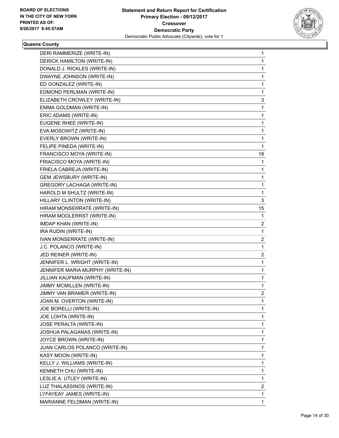

|                                  | 1  |
|----------------------------------|----|
| DERICK HAMILTON (WRITE-IN)       | 1  |
| DONALD J. RICKLES (WRITE-IN)     | 1  |
| DWAYNE JOHNSON (WRITE-IN)        | 1  |
| ED GONZALEZ (WRITE-IN)           | 1  |
| EDMOND PERLMAN (WRITE-IN)        | 1  |
| ELIZABETH CROWLEY (WRITE-IN)     | 3  |
| EMMA GOLDMAN (WRITE-IN)          | 1  |
| ERIC ADAMS (WRITE-IN)            | 1  |
| EUGENE RHEE (WRITE-IN)           | 1  |
| EVA MOSOWITZ (WRITE-IN)          | 1  |
| EVERLY BROWN (WRITE-IN)          | 1  |
| FELIPE PINEDA (WRITE-IN)         | 1  |
| FRANCISCO MOYA (WRITE-IN)        | 18 |
| FRIACISCO MOYA (WRITE-IN)        | 1  |
| FRIELA CABREJA (WRITE-IN)        | 1  |
| <b>GEM JEWSBURY (WRITE-IN)</b>   | 1  |
| GREGORY LACHAGA (WRITE-IN)       | 1  |
| HAROLD M SHULTZ (WRITE-IN)       | 1  |
| HILLARY CLINTON (WRITE-IN)       | 3  |
| HIRAM MONSERRATE (WRITE-IN)      | 15 |
| HIRAM MOOLERRST (WRITE-IN)       | 1  |
| <b>IMDAP KHAN (WRITE-IN)</b>     | 2  |
| IRA RUDIN (WRITE-IN)             | 1  |
|                                  |    |
| IVAN MONSERRATE (WRITE-IN)       | 2  |
| J.C. POLANCO (WRITE-IN)          | 1  |
| JED REINER (WRITE-IN)            | 2  |
| JENNIFER L. WRIGHT (WRITE-IN)    | 1  |
| JENNIFER MARIA MURPHY (WRITE-IN) | 1  |
| JILLIAN KAUFMAN (WRITE-IN)       | 1  |
| JIMMY MCMILLEN (WRITE-IN)        | 1  |
| JIMMY VAN BRAMER (WRITE-IN)      | 2  |
| JOAN M. OVERTON (WRITE-IN)       | 1  |
| JOE BORELLI (WRITE-IN)           | 1  |
| JOE LOHTA (WRITE-IN)             | 1  |
| JOSE PERALTA (WRITE-IN)          | 1  |
| JOSHUA PALAGANAS (WRITE-IN)      | 1  |
| JOYCE BROWN (WRITE-IN)           | 1  |
| JUAN CARLOS POLANCO (WRITE-IN)   | 1  |
| KASY MOON (WRITE-IN)             | 1  |
| KELLY J. WILLIAMS (WRITE-IN)     | 1  |
| KENNETH CHU (WRITE-IN)           | 1  |
| LESLIE A. UTLEY (WRITE-IN)       | 1  |
| LUZ THALASSINOS (WRITE-IN)       | 2  |
| LYFAYEAY JAMES (WRITE-IN)        | 1  |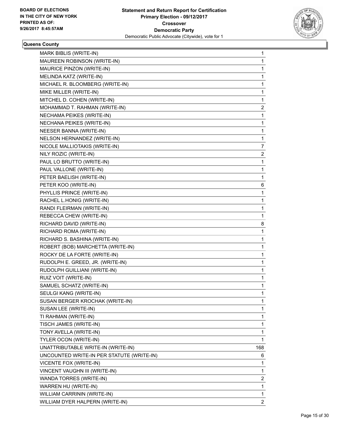

| MARK BIBLIS (WRITE-IN)                    | 1   |
|-------------------------------------------|-----|
| MAUREEN ROBINSON (WRITE-IN)               | 1   |
| MAURICE PINZON (WRITE-IN)                 | 1   |
| MELINDA KATZ (WRITE-IN)                   | 1   |
| MICHAEL R. BLOOMBERG (WRITE-IN)           | 1   |
| MIKE MILLER (WRITE-IN)                    | 1   |
| MITCHEL D. COHEN (WRITE-IN)               | 1   |
| MOHAMMAD T. RAHMAN (WRITE-IN)             | 2   |
| NECHAMA PEIKES (WRITE-IN)                 | 1   |
| NECHANA PEIKES (WRITE-IN)                 | 1   |
| NEESER BANNA (WRITE-IN)                   | 1   |
| NELSON HERNANDEZ (WRITE-IN)               | 1   |
| NICOLE MALLIOTAKIS (WRITE-IN)             | 7   |
| NILY ROZIC (WRITE-IN)                     | 2   |
| PAUL LO BRUTTO (WRITE-IN)                 | 1   |
| PAUL VALLONE (WRITE-IN)                   | 1   |
| PETER BAELISH (WRITE-IN)                  | 1   |
| PETER KOO (WRITE-IN)                      | 6   |
| PHYLLIS PRINCE (WRITE-IN)                 | 1   |
| RACHEL L.HONIG (WRITE-IN)                 | 1   |
| RANDI FLEIRMAN (WRITE-IN)                 | 1   |
| REBECCA CHEW (WRITE-IN)                   | 1   |
| RICHARD DAVID (WRITE-IN)                  | 8   |
| RICHARD ROMA (WRITE-IN)                   | 1   |
| RICHARD S. BASHINA (WRITE-IN)             | 1   |
| ROBERT (BOB) MARCHETTA (WRITE-IN)         | 1   |
| ROCKY DE LA FORTE (WRITE-IN)              | 1   |
| RUDOLPH E. GREED, JR. (WRITE-IN)          | 1   |
| RUDOLPH GUILLIANI (WRITE-IN)              | 1   |
| RUIZ VOIT (WRITE-IN)                      | 1   |
| SAMUEL SCHATZ (WRITE-IN)                  | 1   |
| SEULGI KANG (WRITE-IN)                    | 1   |
| SUSAN BERGER KROCHAK (WRITE-IN)           | 1   |
| SUSAN LEE (WRITE-IN)                      | 1   |
| TI RAHMAN (WRITE-IN)                      | 1   |
| TISCH JAMES (WRITE-IN)                    | 1   |
| TONY AVELLA (WRITE-IN)                    | 1   |
| TYLER OCON (WRITE-IN)                     | 1   |
| UNATTRIBUTABLE WRITE-IN (WRITE-IN)        | 168 |
| UNCOUNTED WRITE-IN PER STATUTE (WRITE-IN) | 6   |
| VICENTE FOX (WRITE-IN)                    | 1   |
| VINCENT VAUGHN III (WRITE-IN)             | 1   |
| WANDA TORRES (WRITE-IN)                   | 2   |
| WARREN HU (WRITE-IN)                      | 1   |
| WILLIAM CARRININ (WRITE-IN)               | 1   |
| WILLIAM DYER HALPERN (WRITE-IN)           | 2   |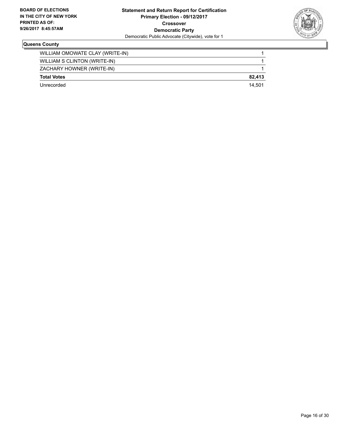

| Unrecorded                      | 14.501 |
|---------------------------------|--------|
| <b>Total Votes</b>              | 82.413 |
| ZACHARY HOWNER (WRITE-IN)       |        |
| WILLIAM S CLINTON (WRITE-IN)    |        |
| WILLIAM OMOWATE CLAY (WRITE-IN) |        |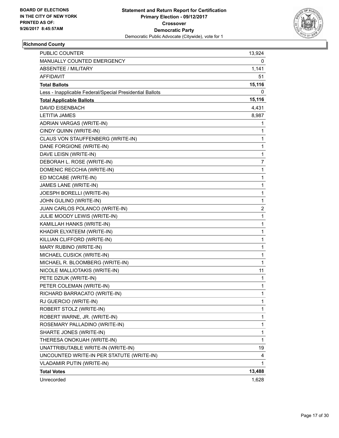

#### **Richmond County**

| PUBLIC COUNTER                                           | 13,924         |
|----------------------------------------------------------|----------------|
| MANUALLY COUNTED EMERGENCY                               | 0              |
| <b>ABSENTEE / MILITARY</b>                               | 1,141          |
| AFFIDAVIT                                                | 51             |
| <b>Total Ballots</b>                                     | 15,116         |
| Less - Inapplicable Federal/Special Presidential Ballots | 0              |
| <b>Total Applicable Ballots</b>                          | 15,116         |
| <b>DAVID EISENBACH</b>                                   | 4,431          |
| <b>LETITIA JAMES</b>                                     | 8,987          |
| ADRIAN VARGAS (WRITE-IN)                                 | 1              |
| CINDY QUINN (WRITE-IN)                                   | 1              |
| CLAUS VON STAUFFENBERG (WRITE-IN)                        | 1              |
| DANE FORGIONE (WRITE-IN)                                 | 1              |
| DAVE LEISN (WRITE-IN)                                    | 1              |
| DEBORAH L. ROSE (WRITE-IN)                               | $\overline{7}$ |
| DOMENIC RECCHIA (WRITE-IN)                               | 1              |
| ED MCCABE (WRITE-IN)                                     | 1              |
| JAMES LANE (WRITE-IN)                                    | 1              |
| JOESPH BORELLI (WRITE-IN)                                | 1              |
| JOHN GULINO (WRITE-IN)                                   | 1              |
| JUAN CARLOS POLANCO (WRITE-IN)                           | 2              |
| JULIE MOODY LEWIS (WRITE-IN)                             | 1              |
| KAMILLAH HANKS (WRITE-IN)                                | 1              |
| KHADIR ELYATEEM (WRITE-IN)                               | 1              |
| KILLIAN CLIFFORD (WRITE-IN)                              | 1              |
| MARY RUBINO (WRITE-IN)                                   | 1              |
| MICHAEL CUSICK (WRITE-IN)                                | 1              |
| MICHAEL R. BLOOMBERG (WRITE-IN)                          | 1              |
| NICOLE MALLIOTAKIS (WRITE-IN)                            | 11             |
| PETE DZIUK (WRITE-IN)                                    | 1              |
| PETER COLEMAN (WRITE-IN)                                 | 1              |
| RICHARD BARRACATO (WRITE-IN)                             | $\mathbf{1}$   |
| RJ GUERCIO (WRITE-IN)                                    | 1              |
| ROBERT STOLZ (WRITE-IN)                                  | 1              |
| ROBERT WARNE, JR. (WRITE-IN)                             | $\mathbf{1}$   |
| ROSEMARY PALLADINO (WRITE-IN)                            | 1              |
| SHARTE JONES (WRITE-IN)                                  | 1              |
| THERESA ONOKUAH (WRITE-IN)                               | $\mathbf{1}$   |
| UNATTRIBUTABLE WRITE-IN (WRITE-IN)                       | 19             |
| UNCOUNTED WRITE-IN PER STATUTE (WRITE-IN)                | 4              |
| VLADAMIR PUTIN (WRITE-IN)                                | 1              |
| <b>Total Votes</b>                                       | 13,488         |
| Unrecorded                                               | 1,628          |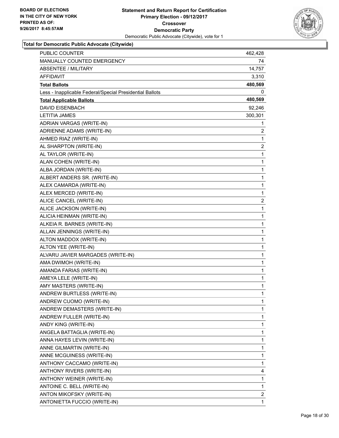

| <b>PUBLIC COUNTER</b>                                    | 462,428        |
|----------------------------------------------------------|----------------|
| MANUALLY COUNTED EMERGENCY                               | 74             |
| <b>ABSENTEE / MILITARY</b>                               | 14,757         |
| AFFIDAVIT                                                | 3,310          |
| <b>Total Ballots</b>                                     | 480,569        |
| Less - Inapplicable Federal/Special Presidential Ballots | 0              |
| <b>Total Applicable Ballots</b>                          | 480,569        |
| <b>DAVID EISENBACH</b>                                   | 92,246         |
| <b>LETITIA JAMES</b>                                     | 300,301        |
| ADRIAN VARGAS (WRITE-IN)                                 | 1              |
| ADRIENNE ADAMS (WRITE-IN)                                | 2              |
| AHMED RIAZ (WRITE-IN)                                    | 1              |
| AL SHARPTON (WRITE-IN)                                   | $\overline{2}$ |
| AL TAYLOR (WRITE-IN)                                     | 1              |
| ALAN COHEN (WRITE-IN)                                    | 1              |
| ALBA JORDAN (WRITE-IN)                                   | 1              |
| ALBERT ANDERS SR. (WRITE-IN)                             | 1              |
| ALEX CAMARDA (WRITE-IN)                                  | 1              |
| ALEX MERCED (WRITE-IN)                                   | 1              |
| ALICE CANCEL (WRITE-IN)                                  | 2              |
| ALICE JACKSON (WRITE-IN)                                 | 1              |
| ALICIA HEINMAN (WRITE-IN)                                | 1              |
| ALKEIA R. BARNES (WRITE-IN)                              | 1              |
| ALLAN JENNINGS (WRITE-IN)                                | 1              |
| ALTON MADDOX (WRITE-IN)                                  | 1              |
| ALTON YEE (WRITE-IN)                                     | 1              |
| ALVARU JAVIER MARGADES (WRITE-IN)                        | 1              |
| AMA DWIMOH (WRITE-IN)                                    | 1              |
| AMANDA FARIAS (WRITE-IN)                                 | 1              |
| AMEYA LELE (WRITE-IN)                                    | 1              |
| AMY MASTERS (WRITE-IN)                                   | 1              |
| ANDREW BURTLESS (WRITE-IN)                               | 1              |
| ANDREW CUOMO (WRITE-IN)                                  | 1              |
| ANDREW DEMASTERS (WRITE-IN)                              | 1              |
| ANDREW FULLER (WRITE-IN)                                 | 1              |
| ANDY KING (WRITE-IN)                                     | 1              |
| ANGELA BATTAGLIA (WRITE-IN)                              | 1              |
| ANNA HAYES LEVIN (WRITE-IN)                              | 1              |
| ANNE GILMARTIN (WRITE-IN)                                | 1              |
| ANNE MCGUINESS (WRITE-IN)                                | 1              |
| ANTHONY CACCAMO (WRITE-IN)                               | 1              |
| ANTHONY RIVERS (WRITE-IN)                                | 4              |
| ANTHONY WEINER (WRITE-IN)                                | 1              |
| ANTOINE C. BELL (WRITE-IN)                               | 1              |
| ANTON MIKOFSKY (WRITE-IN)                                | 2              |
| ANTONIETTA FUCCIO (WRITE-IN)                             | 1              |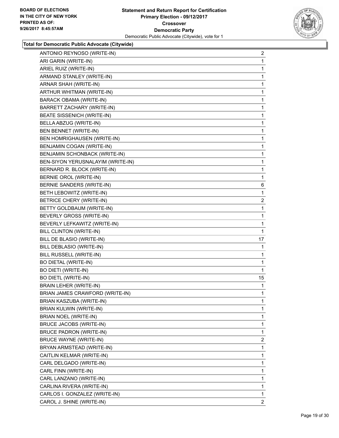

| ANTONIO REYNOSO (WRITE-IN)        | $\overline{2}$ |
|-----------------------------------|----------------|
| ARI GARIN (WRITE-IN)              | 1              |
| ARIEL RUIZ (WRITE-IN)             | 1              |
| ARMAND STANLEY (WRITE-IN)         | 1              |
| ARNAR SHAH (WRITE-IN)             | 1              |
| ARTHUR WHITMAN (WRITE-IN)         | 1              |
| BARACK OBAMA (WRITE-IN)           | 1              |
| BARRETT ZACHARY (WRITE-IN)        | 1              |
| BEATE SISSENICH (WRITE-IN)        | 1              |
| BELLA ABZUG (WRITE-IN)            | 1              |
| BEN BENNET (WRITE-IN)             | 1              |
| BEN HOMRIGHAUSEN (WRITE-IN)       | 1              |
| BENJAMIN COGAN (WRITE-IN)         | 1              |
| BENJAMIN SCHONBACK (WRITE-IN)     | 1              |
| BEN-SIYON YERUSNALAYIM (WRITE-IN) | 1              |
| BERNARD R. BLOCK (WRITE-IN)       | 1              |
| BERNIE OROL (WRITE-IN)            | 1              |
| <b>BERNIE SANDERS (WRITE-IN)</b>  | 6              |
| BETH LEBOWITZ (WRITE-IN)          | 1              |
| <b>BETRICE CHERY (WRITE-IN)</b>   | $\overline{2}$ |
| BETTY GOLDBAUM (WRITE-IN)         | 1              |
| BEVERLY GROSS (WRITE-IN)          | 1              |
| BEVERLY LEFKAWITZ (WRITE-IN)      | 1              |
| BILL CLINTON (WRITE-IN)           | 1              |
| BILL DE BLASIO (WRITE-IN)         | 17             |
| BILL DEBLASIO (WRITE-IN)          | 1              |
| BILL RUSSELL (WRITE-IN)           | 1              |
| <b>BO DIETAL (WRITE-IN)</b>       | 1              |
| <b>BO DIETI (WRITE-IN)</b>        | 1              |
| <b>BO DIETL (WRITE-IN)</b>        | 15             |
| <b>BRAIN LEHER (WRITE-IN)</b>     | 1              |
| BRIAN JAMES CRAWFORD (WRITE-IN)   | 1              |
| BRIAN KASZUBA (WRITE-IN)          | 1              |
| BRIAN KULWIN (WRITE-IN)           | 1              |
| BRIAN NOEL (WRITE-IN)             | 1              |
| BRUCE JACOBS (WRITE-IN)           | 1              |
| <b>BRUCE PADRON (WRITE-IN)</b>    | 1              |
| <b>BRUCE WAYNE (WRITE-IN)</b>     | $\overline{2}$ |
| BRYAN ARMSTEAD (WRITE-IN)         | 1              |
| CAITLIN KELMAR (WRITE-IN)         | 1              |
| CARL DELGADO (WRITE-IN)           | 1              |
| CARL FINN (WRITE-IN)              | 1              |
| CARL LANZANO (WRITE-IN)           | 1              |
| CARLINA RIVERA (WRITE-IN)         | 1              |
| CARLOS I. GONZALEZ (WRITE-IN)     | 1              |
| CAROL J. SHINE (WRITE-IN)         | 2              |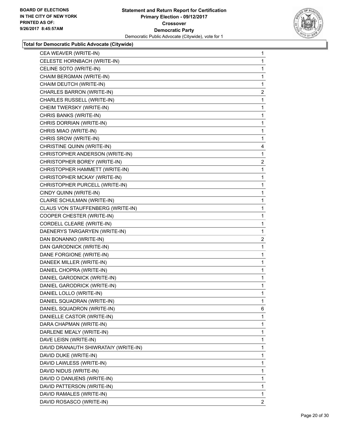

| CEA WEAVER (WRITE-IN)                | 1                       |
|--------------------------------------|-------------------------|
| CELESTE HORNBACH (WRITE-IN)          | 1                       |
| CELINE SOTO (WRITE-IN)               | 1                       |
| CHAIM BERGMAN (WRITE-IN)             | 1                       |
| CHAIM DEUTCH (WRITE-IN)              | 1                       |
| CHARLES BARRON (WRITE-IN)            | 2                       |
| CHARLES RUSSELL (WRITE-IN)           | 1                       |
| CHEIM TWERSKY (WRITE-IN)             | 1                       |
| CHRIS BANKS (WRITE-IN)               | 1                       |
| CHRIS DORRIAN (WRITE-IN)             | 1                       |
| CHRIS MIAO (WRITE-IN)                | 1                       |
| CHRIS SROW (WRITE-IN)                | 1                       |
| CHRISTINE QUINN (WRITE-IN)           | 4                       |
| CHRISTOPHER ANDERSON (WRITE-IN)      | 1                       |
| CHRISTOPHER BOREY (WRITE-IN)         | $\overline{2}$          |
| CHRISTOPHER HAMMETT (WRITE-IN)       | 1                       |
| CHRISTOPHER MCKAY (WRITE-IN)         | 1                       |
| CHRISTOPHER PURCELL (WRITE-IN)       | 1                       |
| CINDY QUINN (WRITE-IN)               | 1                       |
| CLAIRE SCHULMAN (WRITE-IN)           | 1                       |
| CLAUS VON STAUFFENBERG (WRITE-IN)    | 1                       |
| COOPER CHESTER (WRITE-IN)            | 1                       |
| CORDELL CLEARE (WRITE-IN)            | 1                       |
| DAENERYS TARGARYEN (WRITE-IN)        | 1                       |
| DAN BONANNO (WRITE-IN)               | $\overline{\mathbf{c}}$ |
| DAN GARODNICK (WRITE-IN)             | 1                       |
| DANE FORGIONE (WRITE-IN)             | 1                       |
| DANEEK MILLER (WRITE-IN)             | 1                       |
| DANIEL CHOPRA (WRITE-IN)             |                         |
|                                      | 1                       |
| DANIEL GARODNICK (WRITE-IN)          | 1                       |
| DANIEL GARODRICK (WRITE-IN)          | 1                       |
| DANIEL LOLLO (WRITE-IN)              | 1                       |
| DANIEL SQUADRAN (WRITE-IN)           | 1                       |
| DANIEL SQUADRON (WRITE-IN)           | 6                       |
| DANIELLE CASTOR (WRITE-IN)           | 1                       |
| DARA CHAPMAN (WRITE-IN)              | 1                       |
| DARLENE MEALY (WRITE-IN)             | 1                       |
| DAVE LEISN (WRITE-IN)                | 1                       |
| DAVID DRANAUTH SHIWRATAIY (WRITE-IN) | 1                       |
| DAVID DUKE (WRITE-IN)                | 1                       |
| DAVID LAWLESS (WRITE-IN)             | 1                       |
| DAVID NIDUS (WRITE-IN)               | 1                       |
| DAVID O DANUENS (WRITE-IN)           | 1                       |
| DAVID PATTERSON (WRITE-IN)           | 1                       |
| DAVID RAMALES (WRITE-IN)             | 1                       |
|                                      |                         |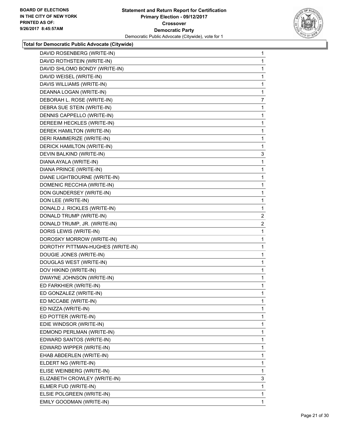

| DAVID ROSENBERG (WRITE-IN)        | 1              |
|-----------------------------------|----------------|
| DAVID ROTHSTEIN (WRITE-IN)        | 1              |
| DAVID SHLOMO BONDY (WRITE-IN)     | 1              |
| DAVID WEISEL (WRITE-IN)           | 1              |
| DAVIS WILLIAMS (WRITE-IN)         | 1              |
| DEANNA LOGAN (WRITE-IN)           | 1              |
| DEBORAH L. ROSE (WRITE-IN)        | $\overline{7}$ |
| DEBRA SUE STEIN (WRITE-IN)        | 1              |
| DENNIS CAPPELLO (WRITE-IN)        | 1              |
| DEREEIM HECKLES (WRITE-IN)        | 1              |
| DEREK HAMILTON (WRITE-IN)         | 1              |
| DERI RAMMERIZE (WRITE-IN)         | 1              |
| DERICK HAMILTON (WRITE-IN)        | 1              |
| DEVIN BALKIND (WRITE-IN)          | 3              |
| DIANA AYALA (WRITE-IN)            | 1              |
| DIANA PRINCE (WRITE-IN)           | 1              |
| DIANE LIGHTBOURNE (WRITE-IN)      | 1              |
| DOMENIC RECCHIA (WRITE-IN)        | 1              |
| DON GUNDERSEY (WRITE-IN)          | 1              |
| DON LEE (WRITE-IN)                | 1              |
| DONALD J. RICKLES (WRITE-IN)      | 1              |
| DONALD TRUMP (WRITE-IN)           | $\overline{2}$ |
| DONALD TRUMP, JR. (WRITE-IN)      | $\overline{2}$ |
| DORIS LEWIS (WRITE-IN)            | 1              |
| DOROSKY MORROW (WRITE-IN)         | 1              |
| DOROTHY PITTMAN-HUGHES (WRITE-IN) | 1              |
| DOUGIE JONES (WRITE-IN)           | 1              |
| DOUGLAS WEST (WRITE-IN)           | 1              |
| DOV HIKIND (WRITE-IN)             | 1              |
| DWAYNE JOHNSON (WRITE-IN)         | 1              |
| ED FARKHIER (WRITE-IN)            | 1              |
| ED GONZALEZ (WRITE-IN)            | 1              |
| ED MCCABE (WRITE-IN)              | 1              |
| ED NIZZA (WRITE-IN)               | 1              |
| ED POTTER (WRITE-IN)              | 1              |
| EDIE WINDSOR (WRITE-IN)           | 1              |
| EDMOND PERLMAN (WRITE-IN)         | 1              |
| EDWARD SANTOS (WRITE-IN)          | 1              |
| EDWARD WIPPER (WRITE-IN)          | 1              |
| EHAB ABDERLEN (WRITE-IN)          | 1              |
| ELDERT NG (WRITE-IN)              | 1              |
| ELISE WEINBERG (WRITE-IN)         | 1              |
| ELIZABETH CROWLEY (WRITE-IN)      | 3              |
| ELMER FUD (WRITE-IN)              | 1              |
| ELSIE POLGREEN (WRITE-IN)         | 1              |
| EMILY GOODMAN (WRITE-IN)          | 1              |
|                                   |                |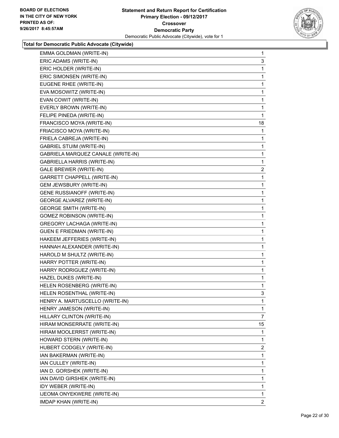

| EMMA GOLDMAN (WRITE-IN)            | $\mathbf 1$ |
|------------------------------------|-------------|
| ERIC ADAMS (WRITE-IN)              | 3           |
| ERIC HOLDER (WRITE-IN)             | 1           |
| ERIC SIMONSEN (WRITE-IN)           | 1           |
| EUGENE RHEE (WRITE-IN)             | 1           |
| EVA MOSOWITZ (WRITE-IN)            | 1           |
| EVAN COWIT (WRITE-IN)              | 1           |
| EVERLY BROWN (WRITE-IN)            | 1           |
| FELIPE PINEDA (WRITE-IN)           | 1           |
| FRANCISCO MOYA (WRITE-IN)          | 18          |
| FRIACISCO MOYA (WRITE-IN)          | 1           |
| FRIELA CABREJA (WRITE-IN)          | 1           |
| <b>GABRIEL STUIM (WRITE-IN)</b>    | 1           |
| GABRIELA MARQUEZ CANALE (WRITE-IN) | 1           |
| GABRIELLA HARRIS (WRITE-IN)        | 1           |
| GALE BREWER (WRITE-IN)             | 2           |
| GARRETT CHAPPELL (WRITE-IN)        | 1           |
| GEM JEWSBURY (WRITE-IN)            | 1           |
| <b>GENE RUSSIANOFF (WRITE-IN)</b>  | 1           |
| <b>GEORGE ALVAREZ (WRITE-IN)</b>   | 1           |
| <b>GEORGE SMITH (WRITE-IN)</b>     | 1           |
| <b>GOMEZ ROBINSON (WRITE-IN)</b>   | 1           |
| GREGORY LACHAGA (WRITE-IN)         | 1           |
| <b>GUEN E FRIEDMAN (WRITE-IN)</b>  | 1           |
| HAKEEM JEFFERIES (WRITE-IN)        | 1           |
| HANNAH ALEXANDER (WRITE-IN)        | 1           |
| HAROLD M SHULTZ (WRITE-IN)         | 1           |
| HARRY POTTER (WRITE-IN)            | 1           |
| HARRY RODRIGUEZ (WRITE-IN)         | 1           |
| HAZEL DUKES (WRITE-IN)             | 1           |
| HELEN ROSENBERG (WRITE-IN)         | 1           |
| HELEN ROSENTHAL (WRITE-IN)         | 3           |
| HENRY A. MARTUSCELLO (WRITE-IN)    | 1           |
| HENRY JAMESON (WRITE-IN)           | 1           |
| HILLARY CLINTON (WRITE-IN)         | 7           |
| HIRAM MONSERRATE (WRITE-IN)        | 15          |
| HIRAM MOOLERRST (WRITE-IN)         | 1           |
| HOWARD STERN (WRITE-IN)            | 1           |
| HUBERT CODGELY (WRITE-IN)          | 2           |
| IAN BAKERMAN (WRITE-IN)            | 1           |
| IAN CULLEY (WRITE-IN)              | 1           |
| IAN D. GORSHEK (WRITE-IN)          | 1           |
| IAN DAVID GIRSHEK (WRITE-IN)       | 1           |
| IDY WEBER (WRITE-IN)               | 1           |
| IJEOMA ONYEKWERE (WRITE-IN)        | 1           |
| IMDAP KHAN (WRITE-IN)              | 2           |
|                                    |             |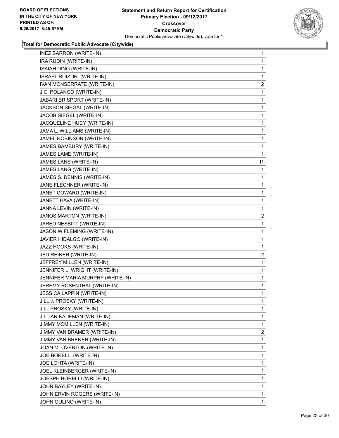

| <b>INEZ BARRON (WRITE-IN)</b>    | 1              |
|----------------------------------|----------------|
| IRA RUDIN (WRITE-IN)             | $\mathbf{1}$   |
| ISAIAH DING (WRITE-IN)           | 1              |
| ISRAEL RUIZ JR. (WRITE-IN)       | 1              |
| IVAN MONSERRATE (WRITE-IN)       | $\overline{2}$ |
| J.C. POLANCO (WRITE-IN)          | 1              |
| JABARI BRISPORT (WRITE-IN)       | 1              |
| JACKSON SIEGAL (WRITE-IN)        | 1              |
| JACOB SIEGEL (WRITE-IN)          | 1              |
| JACQUELINE HUEY (WRITE-IN)       | 1              |
| JAMA L. WILLIAMS (WRITE-IN)      | 1              |
| JAMEL ROBINSON (WRITE-IN)        | 1              |
| JAMES BAMBURY (WRITE-IN)         | 1              |
| JAMES LAME (WRITE-IN)            | $\mathbf{1}$   |
| JAMES LANE (WRITE-IN)            | 11             |
| JAMES LANG (WRITE-IN)            | 1              |
| JAMES S. DENNIS (WRITE-IN)       | 1              |
| JANE FLECHNER (WRITE-IN)         | 1              |
| JANET COWARD (WRITE-IN)          | 1              |
| JANETT HAVA (WRITE-IN)           | 1              |
| JANNA LEVIN (WRITE-IN)           | 1              |
| JANOS MARTON (WRITE-IN)          | $\overline{a}$ |
| JARED NESBITT (WRITE-IN)         | 1              |
| JASON W FLEMING (WRITE-IN)       | 1              |
| JAVIER HIDALGO (WRITE-IN)        | 1              |
| JAZZ HOOKS (WRITE-IN)            | 1              |
| JED REINER (WRITE-IN)            | $\overline{2}$ |
| JEFFREY MILLEN (WRITE-IN)        | 1              |
| JENNIFER L. WRIGHT (WRITE-IN)    | 1              |
| JENNIFER MARIA MURPHY (WRITE-IN) | $\mathbf{1}$   |
| JEREMY ROSENTHAL (WRITE-IN)      | 1              |
| JESSICA LAPPIN (WRITE-IN)        | 1              |
| JILL J. PROSKY (WRITE-IN)        | 1              |
| JILL PROSKY (WRITE-IN)           | 1              |
| JILLIAN KAUFMAN (WRITE-IN)       | 1              |
| JIMMY MCMILLEN (WRITE-IN)        | 1              |
| JIMMY VAN BRAMER (WRITE-IN)      | 2              |
| JIMMY VAN BRENER (WRITE-IN)      | 1              |
| JOAN M. OVERTON (WRITE-IN)       | 1              |
| JOE BORELLI (WRITE-IN)           | 1              |
| JOE LOHTA (WRITE-IN)             | 1              |
| JOEL KLEINBERGER (WRITE-IN)      | 1              |
| JOESPH BORELLI (WRITE-IN)        | 1              |
| JOHN BAYLEY (WRITE-IN)           | 1              |
| JOHN ERVIN ROGERS (WRITE-IN)     | 1              |
| JOHN GULINO (WRITE-IN)           | 1              |
|                                  |                |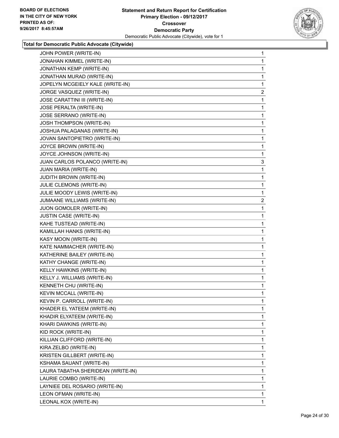

| JOHN POWER (WRITE-IN)              | 1            |
|------------------------------------|--------------|
| JONAHAN KIMMEL (WRITE-IN)          | 1            |
| JONATHAN KEMP (WRITE-IN)           | 1            |
| JONATHAN MURAD (WRITE-IN)          | 1            |
| JOPELYN MCGEIELY KALE (WRITE-IN)   | 1            |
| JORGE VASQUEZ (WRITE-IN)           | $\mathbf{2}$ |
| JOSE CARATTINI III (WRITE-IN)      | 1            |
| JOSE PERALTA (WRITE-IN)            | 1            |
| <b>JOSE SERRANO (WRITE-IN)</b>     | 1            |
| JOSH THOMPSON (WRITE-IN)           | 1            |
| JOSHUA PALAGANAS (WRITE-IN)        | 1            |
| JOVAN SANTOPIETRO (WRITE-IN)       | 1            |
| JOYCE BROWN (WRITE-IN)             | 1            |
| JOYCE JOHNSON (WRITE-IN)           | 1            |
| JUAN CARLOS POLANCO (WRITE-IN)     | 3            |
| JUAN MARIA (WRITE-IN)              | 1            |
| <b>JUDITH BROWN (WRITE-IN)</b>     | 1            |
| JULIE CLEMONS (WRITE-IN)           | 1            |
| JULIE MOODY LEWIS (WRITE-IN)       | 1            |
| JUMAANE WILLIAMS (WRITE-IN)        | 2            |
| JUON GOMOLER (WRITE-IN)            | 1            |
| <b>JUSTIN CASE (WRITE-IN)</b>      | 1            |
| KAHE TUSTEAD (WRITE-IN)            | 1            |
| KAMILLAH HANKS (WRITE-IN)          | 1            |
| KASY MOON (WRITE-IN)               | 1            |
| KATE NAMMACHER (WRITE-IN)          | 1            |
| KATHERINE BAILEY (WRITE-IN)        | 1            |
| KATHY CHANGE (WRITE-IN)            | 1            |
| KELLY HAWKINS (WRITE-IN)           | 1            |
| KELLY J. WILLIAMS (WRITE-IN)       | 1            |
| KENNETH CHU (WRITE-IN)             | 1            |
| KEVIN MCCALL (WRITE-IN)            | 1            |
| KEVIN P. CARROLL (WRITE-IN)        | 1            |
| KHADER EL YATEEM (WRITE-IN)        | 1            |
| KHADIR ELYATEEM (WRITE-IN)         | 1            |
| KHARI DAWKINS (WRITE-IN)           | 1            |
| KID ROCK (WRITE-IN)                | 1            |
| KILLIAN CLIFFORD (WRITE-IN)        | 1            |
| KIRA ZELBO (WRITE-IN)              | 1            |
| KRISTEN GILLBERT (WRITE-IN)        | 1            |
| KSHAMA SAUANT (WRITE-IN)           | 1            |
| LAURA TABATHA SHERIDEAN (WRITE-IN) | 1            |
| LAURIE COMBO (WRITE-IN)            | 1            |
| LAYNIEE DEL ROSARIO (WRITE-IN)     | 1            |
| LEON OFMAN (WRITE-IN)              | 1            |
| LEONAL KOX (WRITE-IN)              | 1.           |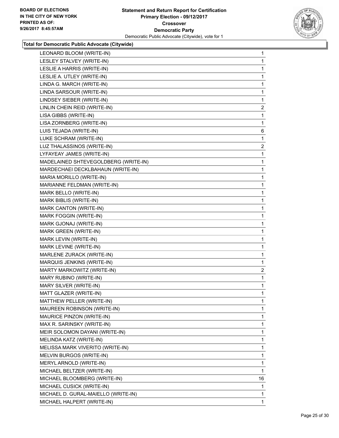

| LEONARD BLOOM (WRITE-IN)             | 1            |
|--------------------------------------|--------------|
| LESLEY STALVEY (WRITE-IN)            | 1            |
| LESLIE A HARRIS (WRITE-IN)           | 1            |
| LESLIE A. UTLEY (WRITE-IN)           | 1            |
| LINDA G. MARCH (WRITE-IN)            | 1            |
| LINDA SARSOUR (WRITE-IN)             | 1            |
| LINDSEY SIEBER (WRITE-IN)            | 1            |
| LINLIN CHEIN REID (WRITE-IN)         | 2            |
| LISA GIBBS (WRITE-IN)                | 1            |
| LISA ZORNBERG (WRITE-IN)             | 1            |
| LUIS TEJADA (WRITE-IN)               | 6            |
| LUKE SCHRAM (WRITE-IN)               | 1            |
| LUZ THALASSINOS (WRITE-IN)           | $\mathbf{2}$ |
| LYFAYEAY JAMES (WRITE-IN)            | 1            |
| MADELAINED SHTEVEGOLDBERG (WRITE-IN) | 1            |
| MARDECHAEI DECKLBAHAUN (WRITE-IN)    | 1            |
| MARIA MORILLO (WRITE-IN)             | 1            |
| MARIANNE FELDMAN (WRITE-IN)          | 1            |
| MARK BELLO (WRITE-IN)                | 1            |
| MARK BIBLIS (WRITE-IN)               | 1            |
| MARK CANTON (WRITE-IN)               | 1            |
| MARK FOGGIN (WRITE-IN)               | 1            |
| MARK GJONAJ (WRITE-IN)               | 1            |
| MARK GREEN (WRITE-IN)                | 1            |
| MARK LEVIN (WRITE-IN)                | 1            |
| MARK LEVINE (WRITE-IN)               | 1            |
| MARLENE ZURACK (WRITE-IN)            | 1            |
| MARQUIS JENKINS (WRITE-IN)           | 1            |
| MARTY MARKOWITZ (WRITE-IN)           | 2            |
| MARY RUBINO (WRITE-IN)               | 1            |
| MARY SILVER (WRITE-IN)               | 1            |
| MATT GLAZER (WRITE-IN)               | 1            |
| MATTHEW PELLER (WRITE-IN)            | 1            |
| <b>MAUREEN ROBINSON (WRITE-IN)</b>   | 1            |
| <b>MAURICE PINZON (WRITE-IN)</b>     | 1            |
| MAX R. SARINSKY (WRITE-IN)           | 1            |
| MEIR SOLOMON DAYANI (WRITE-IN)       | 1            |
| MELINDA KATZ (WRITE-IN)              | 1            |
| MELISSA MARK VIVERITO (WRITE-IN)     | 1            |
| <b>MELVIN BURGOS (WRITE-IN)</b>      | 1            |
| MERYL ARNOLD (WRITE-IN)              | 1            |
| MICHAEL BELTZER (WRITE-IN)           | 1            |
| MICHAEL BLOOMBERG (WRITE-IN)         | 16           |
| MICHAEL CUSICK (WRITE-IN)            | 1            |
| MICHAEL D. GURAL-MAIELLO (WRITE-IN)  | 1            |
| MICHAEL HALPERT (WRITE-IN)           | 1            |
|                                      |              |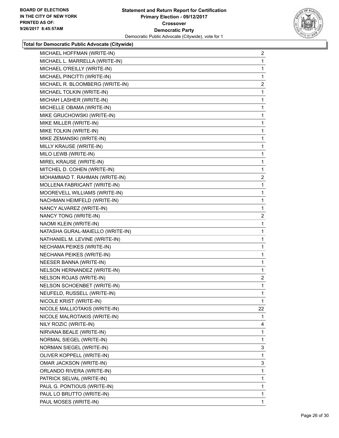

| MICHAEL HOFFMAN (WRITE-IN)       | 2              |
|----------------------------------|----------------|
| MICHAEL L. MARRELLA (WRITE-IN)   | 1              |
| MICHAEL O'REILLY (WRITE-IN)      | 1              |
| MICHAEL PINCITTI (WRITE-IN)      | 1              |
| MICHAEL R. BLOOMBERG (WRITE-IN)  | $\overline{2}$ |
| MICHAEL TOLKIN (WRITE-IN)        | 1              |
| MICHAH LASHER (WRITE-IN)         | 1              |
| MICHELLE OBAMA (WRITE-IN)        | 1              |
| MIKE GRUCHOWSKI (WRITE-IN)       | 1              |
| MIKE MILLER (WRITE-IN)           | 1              |
| MIKE TOLKIN (WRITE-IN)           | 1              |
| MIKE ZEMANSKI (WRITE-IN)         | 1              |
| MILLY KRAUSE (WRITE-IN)          | 1              |
| MILO LEWB (WRITE-IN)             | 1              |
| MIREL KRAUSE (WRITE-IN)          | 1              |
| MITCHEL D. COHEN (WRITE-IN)      | 1              |
| MOHAMMAD T. RAHMAN (WRITE-IN)    | $\overline{2}$ |
| MOLLENA FABRICANT (WRITE-IN)     | 1              |
| MOOREVELL WILLIAMS (WRITE-IN)    | 1              |
| NACHMAN HEIMFELD (WRITE-IN)      | 1              |
| NANCY ALVAREZ (WRITE-IN)         | 1              |
| NANCY TONG (WRITE-IN)            | 2              |
| NAOMI KLEIN (WRITE-IN)           | 1              |
| NATASHA GURAL-MAIELLO (WRITE-IN) | 1              |
| NATHANIEL M. LEVINE (WRITE-IN)   | 1              |
| NECHAMA PEIKES (WRITE-IN)        | 1              |
| NECHANA PEIKES (WRITE-IN)        | 1              |
| NEESER BANNA (WRITE-IN)          | 1              |
| NELSON HERNANDEZ (WRITE-IN)      | $\mathbf{1}$   |
| <b>NELSON ROJAS (WRITE-IN)</b>   | $\overline{2}$ |
| NELSON SCHOENBET (WRITE-IN)      | 1              |
| NEUFELD, RUSSELL (WRITE-IN)      | $\mathbf{1}$   |
| NICOLE KRIST (WRITE-IN)          | $\mathbf 1$    |
| NICOLE MALLIOTAKIS (WRITE-IN)    | 22             |
| NICOLE MALROTAKIS (WRITE-IN)     | 1              |
| NILY ROZIC (WRITE-IN)            | 4              |
| NIRVANA BEALE (WRITE-IN)         | 1              |
| NORMAL SIEGEL (WRITE-IN)         | 1              |
| NORMAN SIEGEL (WRITE-IN)         | 3              |
| OLIVER KOPPELL (WRITE-IN)        | 1              |
| OMAR JACKSON (WRITE-IN)          | 3              |
| ORLANDO RIVERA (WRITE-IN)        | 1              |
| PATRICK SELVAL (WRITE-IN)        | 1              |
| PAUL G. PONTIOUS (WRITE-IN)      | 1              |
| PAUL LO BRUTTO (WRITE-IN)        | 1              |
| PAUL MOSES (WRITE-IN)            | 1              |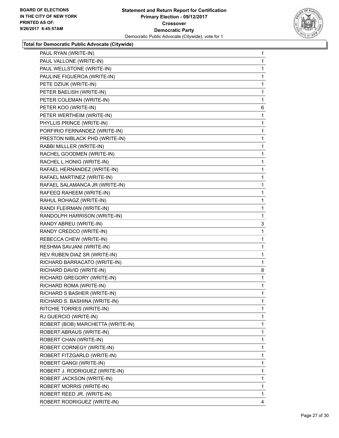

| PAUL RYAN (WRITE-IN)              | 1 |
|-----------------------------------|---|
| PAUL VALLONE (WRITE-IN)           | 1 |
| PAUL WELLSTONE (WRITE-IN)         | 1 |
| PAULINE FIGUEROA (WRITE-IN)       | 1 |
| PETE DZIUK (WRITE-IN)             | 1 |
| PETER BAELISH (WRITE-IN)          | 1 |
| PETER COLEMAN (WRITE-IN)          | 1 |
| PETER KOO (WRITE-IN)              | 6 |
| PETER WERTHEIM (WRITE-IN)         | 1 |
| PHYLLIS PRINCE (WRITE-IN)         | 1 |
| PORFIRIO FERNANDEZ (WRITE-IN)     | 1 |
| PRESTON NIBLACK PHD (WRITE-IN)    | 1 |
| RABBI MILLLER (WRITE-IN)          | 1 |
| RACHEL GOODMEN (WRITE-IN)         | 1 |
| RACHEL L.HONIG (WRITE-IN)         | 1 |
| RAFAEL HERNANDEZ (WRITE-IN)       | 1 |
| RAFAEL MARTINEZ (WRITE-IN)        | 1 |
| RAFAEL SALAMANCA JR (WRITE-IN)    | 1 |
| RAFEEQ RAHEEM (WRITE-IN)          | 1 |
| RAHUL ROHAGZ (WRITE-IN)           | 1 |
| RANDI FLEIRMAN (WRITE-IN)         | 1 |
| RANDOLPH HARRISON (WRITE-IN)      | 1 |
| RANDY ABREU (WRITE-IN)            | 3 |
| RANDY CREDCO (WRITE-IN)           | 1 |
| REBECCA CHEW (WRITE-IN)           | 1 |
| RESHMA SAVJANI (WRITE-IN)         | 1 |
| REV RUBEN DIAZ SR (WRITE-IN)      | 1 |
| RICHARD BARRACATO (WRITE-IN)      | 1 |
| RICHARD DAVID (WRITE-IN)          | 8 |
| RICHARD GREGORY (WRITE-IN)        | 1 |
| RICHARD ROMA (WRITE-IN)           | 1 |
| RICHARD S BASHER (WRITE-IN)       | 1 |
| RICHARD S. BASHINA (WRITE-IN)     | 1 |
| RITCHIE TORRES (WRITE-IN)         | 1 |
| RJ GUERCIO (WRITE-IN)             | 1 |
| ROBERT (BOB) MARCHETTA (WRITE-IN) | 1 |
| ROBERT ABRAUS (WRITE-IN)          | 1 |
| ROBERT CHAN (WRITE-IN)            | 1 |
| ROBERT CORNEGY (WRITE-IN)         | 1 |
| ROBERT FITZGARLD (WRITE-IN)       | 1 |
| ROBERT GANGI (WRITE-IN)           | 1 |
| ROBERT J. RODRIGUEZ (WRITE-IN)    | 1 |
| ROBERT JACKSON (WRITE-IN)         | 1 |
| ROBERT MORRIS (WRITE-IN)          | 1 |
| ROBERT REED JR. (WRITE-IN)        | 1 |
| ROBERT RODRIGUEZ (WRITE-IN)       | 4 |
|                                   |   |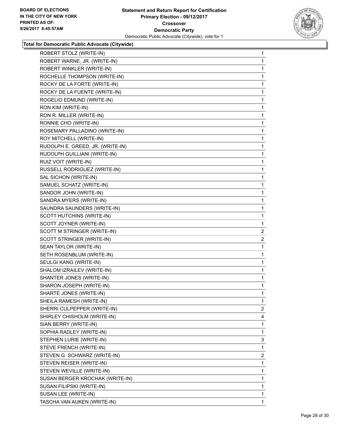

| ROBERT STOLZ (WRITE-IN)          | 1              |
|----------------------------------|----------------|
| ROBERT WARNE, JR. (WRITE-IN)     | 1              |
| ROBERT WINKLER (WRITE-IN)        | 1              |
| ROCHELLE THOMPSON (WRITE-IN)     | 1              |
| ROCKY DE LA FORTE (WRITE-IN)     | 1              |
| ROCKY DE LA FUENTE (WRITE-IN)    | 1              |
| ROGELIO EDMUND (WRITE-IN)        | 1              |
| RON KIM (WRITE-IN)               | 1              |
| RON R. MILLER (WRITE-IN)         | 1              |
| RONNIE CHO (WRITE-IN)            | 1              |
| ROSEMARY PALLADINO (WRITE-IN)    | 1              |
| ROY MITCHELL (WRITE-IN)          | 1              |
| RUDOLPH E. GREED, JR. (WRITE-IN) | 1              |
| RUDOLPH GUILLIANI (WRITE-IN)     | 1              |
| RUIZ VOIT (WRITE-IN)             | 1              |
| RUSSELL RODRIGUEZ (WRITE-IN)     | 1              |
| SAL SICHON (WRITE-IN)            | 1              |
| SAMUEL SCHATZ (WRITE-IN)         | 1              |
| SANDOR JOHN (WRITE-IN)           | 1              |
| SANDRA MYERS (WRITE-IN)          | 1              |
| SAUNDRA SAUNDERS (WRITE-IN)      | 1              |
| SCOTT HUTCHINS (WRITE-IN)        | 1              |
| SCOTT JOYNER (WRITE-IN)          | 1              |
| SCOTT M STRINGER (WRITE-IN)      | 2              |
| SCOTT STRINGER (WRITE-IN)        | $\overline{2}$ |
| SEAN TAYLOR (WRITE-IN)           | 1              |
| SETH ROSENBLUM (WRITE-IN)        | 1              |
| SEULGI KANG (WRITE-IN)           | 1              |
| SHALOM IZRAILEV (WRITE-IN)       | 1              |
| SHANTER JONES (WRITE-IN)         | 1              |
| SHARON JOSEPH (WRITE-IN)         | 1              |
| SHARTE JONES (WRITE-IN)          | 1              |
| SHEILA RAMESH (WRITE-IN)         | 1              |
| SHERRI CULPEPPER (WRITE-IN)      | 2              |
| SHIRLEY CHISHOLM (WRITE-IN)      | 4              |
| SIAN BERRY (WRITE-IN)            | 1              |
| SOPHIA RADLEY (WRITE-IN)         | 1              |
| STEPHEN LURIE (WRITE-IN)         | 3              |
| STEVE FRENCH (WRITE-IN)          | 1              |
| STEVEN G. SCHWARZ (WRITE-IN)     | 2              |
| STEVEN REISER (WRITE-IN)         | 1              |
| STEVEN WEVILLE (WRITE-IN)        | 1              |
| SUSAN BERGER KROCHAK (WRITE-IN)  | 1              |
| SUSAN FILIPSKI (WRITE-IN)        | 1              |
| SUSAN LEE (WRITE-IN)             | 1              |
| TASCHA VAN AUKEN (WRITE-IN)      | 1              |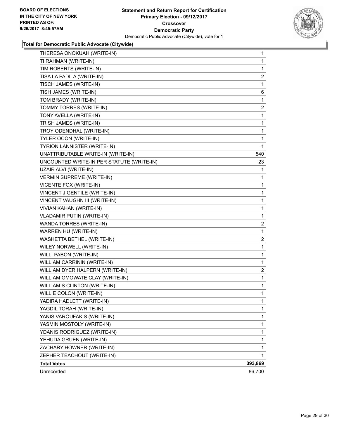

| THERESA ONOKUAH (WRITE-IN)                | $\mathbf 1$    |
|-------------------------------------------|----------------|
| TI RAHMAN (WRITE-IN)                      | 1              |
| TIM ROBERTS (WRITE-IN)                    | 1              |
| TISA LA PADILA (WRITE-IN)                 | $\overline{c}$ |
| TISCH JAMES (WRITE-IN)                    | 1              |
| TISH JAMES (WRITE-IN)                     | 6              |
| TOM BRADY (WRITE-IN)                      | 1              |
| TOMMY TORRES (WRITE-IN)                   | 2              |
| TONY AVELLA (WRITE-IN)                    | 1              |
| TRISH JAMES (WRITE-IN)                    | 1              |
| TROY ODENDHAL (WRITE-IN)                  | 1              |
| TYLER OCON (WRITE-IN)                     | 1              |
| TYRION LANNISTER (WRITE-IN)               | 1              |
| UNATTRIBUTABLE WRITE-IN (WRITE-IN)        | 540            |
| UNCOUNTED WRITE-IN PER STATUTE (WRITE-IN) | 23             |
| UZAIR ALVI (WRITE-IN)                     | 1              |
| <b>VERMIN SUPREME (WRITE-IN)</b>          | 1              |
| VICENTE FOX (WRITE-IN)                    | 1              |
| VINCENT J GENTILE (WRITE-IN)              | 1              |
| VINCENT VAUGHN III (WRITE-IN)             | 1              |
| VIVIAN KAHAN (WRITE-IN)                   | 1              |
| <b>VLADAMIR PUTIN (WRITE-IN)</b>          | 1              |
| WANDA TORRES (WRITE-IN)                   | 2              |
| WARREN HU (WRITE-IN)                      | 1              |
| WASHETTA BETHEL (WRITE-IN)                | $\overline{c}$ |
| WILEY NORWELL (WRITE-IN)                  | 1              |
| WILLI PABON (WRITE-IN)                    | 1              |
| WILLIAM CARRININ (WRITE-IN)               | 1              |
| WILLIAM DYER HALPERN (WRITE-IN)           | 2              |
| WILLIAM OMOWATE CLAY (WRITE-IN)           | 1              |
| <b>WILLIAM S CLINTON (WRITE-IN)</b>       | 1              |
| WILLIE COLON (WRITE-IN)                   | 1              |
| YADIRA HADLETT (WRITE-IN)                 | 1              |
| YAGDIL TORAH (WRITE-IN)                   | 1              |
| YANIS VAROUFAKIS (WRITE-IN)               | 1              |
| YASMIN MOSTOLY (WRITE-IN)                 | 1              |
| YDANIS RODRIGUEZ (WRITE-IN)               | 1              |
| YEHUDA GRUEN (WRITE-IN)                   | 1              |
| ZACHARY HOWNER (WRITE-IN)                 | 1              |
| ZEPHER TEACHOUT (WRITE-IN)                | 1              |
| <b>Total Votes</b>                        | 393,869        |
| Unrecorded                                | 86,700         |